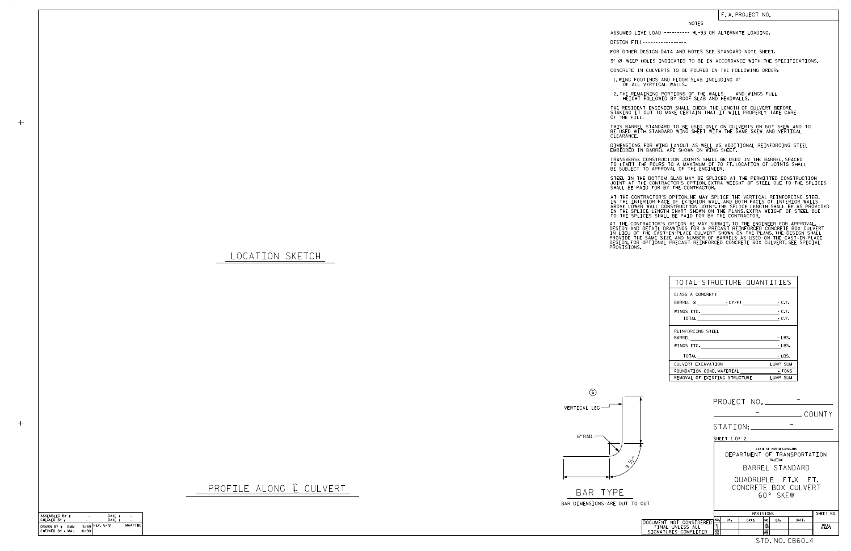

LOCATION SKETCH

 $+$ 

 $+$ 

6" RAD. VERTICAL LEG 6

## F. A. PROJECT NO.

## NOTES

DESIGN FILL-----------------

FOR OTHER DESIGN DATA AND NOTES SEE STANDARD NOTE SHEET.

3" Ø WEEP HOLES INDICATED TO BE IN ACCORDANCE WITH THE SPECIFICATIONS.

CONCRETE IN CULVERTS TO BE POURED IN THE FOLLOWING ORDER:

1.WING FOOTINGS AND FLOOR SLAB INCLUDING 4"<br>OF ALL VERTICAL WALLS.

2.THE REMAINING PORTIONS OF THE WALLS AND WINGS FULL<br>HEIGHT FOLLOWED BY ROOF SLAB AND HEADWALLS.

THE RESIDENT ENGINEER SHALL CHECK THE LENGTH OF CULVERT BEFORE<br>STAKING IT OUT TO MAKE CERTAIN THAT IT WILL PROPERLY TAKE CARE<br>OF THE FILL.

STEEL IN THE BOTTOM SLAB MAY BE SPLICED AT THE PERMITTED CONSTRUCTION JOINT AT THE CONTRACTOR'S OPTION.EXTRA WEIGHT OF STEEL DUE TO THE SPLICES<br>SHALL BE PAID FOR BY THE CONTRACTOR.

BE USED WITH STANDARD WING SHEET WITH THE SAME SKEW AND VERTICAL CLEARANCE. THIS BARREL STANDARD TO BE USED ONLY ON CULVERTS ON 60° SKEW AND TO

DIMENSIONS FOR WING LAYOUT AS WELL AS ADDITIONAL REINFORCING STEEL<br>EMBEDDED IN BARREL ARE SHOWN ON WING SHEET.

TRANSVERSE CONSTRUCTION JOINTS SHALL BE USED IN THE BARREL,SPACED<br>TO LIMIT THE POURS TO A MAXIMUM OF 70 FT.LOCATION OF JOINTS SHALL<br>BE SUBJECT TO APPROVAL OF THE ENGINEER.

IN THE INTERIOR FACE OF EXTERIOR WALL AND BOTH FACES OF INTERIOR WALLS<br>ABOVE LOWER WALL CONSTRUCTION JOINT.THE SPLICE LENGTH SHALL BE AS PROVIDED<br>IN THE SPLICE LENGTH CHART SHOWN ON THE PLANS.EXTRA WEIGHT OF STEEL DUE<br>TO T AT THE CONTRACTOR'S OPTION, HE MAY SPLICE THE VERTICAL REINFORCING STEEL

AT THE CONTRACTOR'S OPTION HE MAY SUBMIT, TO THE ENGINEER FOR APPROVAL,<br>DESIGN AND DETAIL DRAWINGS FOR A PRECAST REINFORCED CONCRETE BOX CULVERT<br>IN LIEU OF THE CAST-IN-PLACE CULVERT SHOWN ON THE PLANS.THE DESIGN SHALL<br>PROV

| 6.                                       |                                                                           |  |  |
|------------------------------------------|---------------------------------------------------------------------------|--|--|
| VERTICAL LEG                             |                                                                           |  |  |
|                                          | COUNTY                                                                    |  |  |
|                                          | STATION:                                                                  |  |  |
| 6"RAD.                                   | SHEET 1 OF 2                                                              |  |  |
|                                          | STATE OF NORTH CAROLINA<br>DEPARTMENT OF TRANSPORTATION<br>RALEIGH        |  |  |
| $\frac{1}{2}$                            | BARREL STANDARD                                                           |  |  |
|                                          | QUADRUPLE FT.X FT.                                                        |  |  |
|                                          | CONCRETE BOX CULVERT                                                      |  |  |
| BAR TYPE                                 | 60° SKEW                                                                  |  |  |
| BAR DIMENSIONS ARE OUT TO OUT            |                                                                           |  |  |
|                                          | SHEET NO.<br>REVISIONS                                                    |  |  |
| DOCUMENT NOT CONSIDERED                  | NO.<br>BY:<br>NO.<br>DATE:<br>DATE:<br>BY:                                |  |  |
| FINAL UNLESS ALL<br>SIGNATURES COMPLETED | ิจ<br>$\overline{\mathbf{3}}$<br>TOTAL<br>SHEETS<br>$\overline{2}$<br>۱4, |  |  |
|                                          | STD. NO. CB60 <sub>-</sub> 4                                              |  |  |

| TOTAL STRUCTURE QUANTITIES             |          |
|----------------------------------------|----------|
| CLASS A CONCRETE                       |          |
| BARREL @ FCY/FT FC.Y.                  |          |
| WINGS ETC. $-C.Y.$                     |          |
|                                        | $-C.Y.$  |
| REINFORCING STEEL                      |          |
|                                        | $-LBS.$  |
| WINGS ETC.                             | $-LBS.$  |
| TOTAL                                  | $-LBS.$  |
| CULVERT EXCAVATION                     | LUMP SUM |
| FOUNDATION COND. MATERIAL              | TONS -   |
| REMOVAL OF EXISTING STRUCTURE LUMP SUM |          |

ASSUMED LIVE LOAD ---------- HL-93 OR ALTERNATE LOADING.

| ASSEMBLED BY:                                | ۰     | DATE:            | ۰       |
|----------------------------------------------|-------|------------------|---------|
| CHECKED BY :                                 |       | DATE:            |         |
| DRAWN BY :<br><b>BMM</b><br>CHECKED BY : MAJ | 10/90 | $9/89$ REV. 6/19 | MAA/THC |